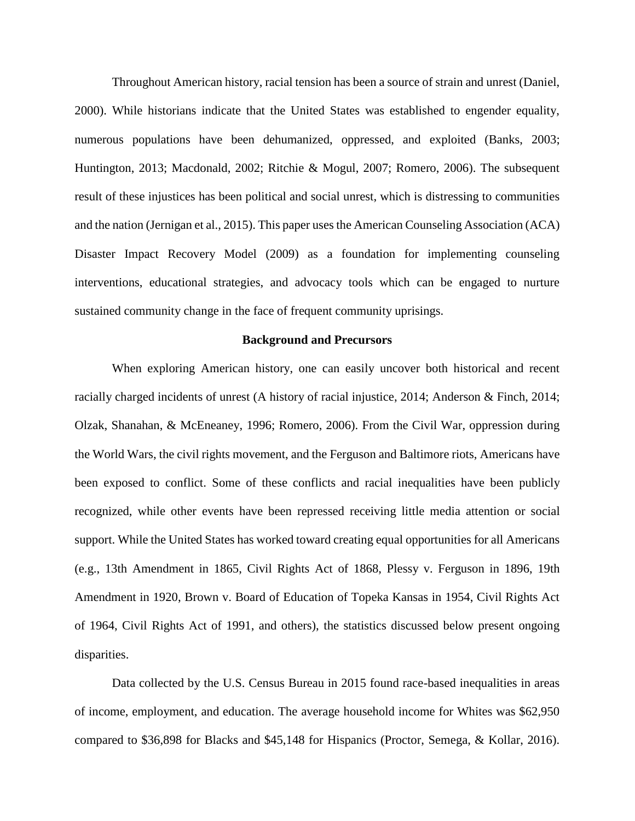Throughout American history, racial tension has been a source of strain and unrest (Daniel, 2000). While historians indicate that the United States was established to engender equality, numerous populations have been dehumanized, oppressed, and exploited (Banks, 2003; Huntington, 2013; Macdonald, 2002; Ritchie & Mogul, 2007; Romero, 2006). The subsequent result of these injustices has been political and social unrest, which is distressing to communities and the nation (Jernigan et al., 2015). This paper uses the American Counseling Association (ACA) Disaster Impact Recovery Model (2009) as a foundation for implementing counseling interventions, educational strategies, and advocacy tools which can be engaged to nurture sustained community change in the face of frequent community uprisings.

#### **Background and Precursors**

When exploring American history, one can easily uncover both historical and recent racially charged incidents of unrest (A history of racial injustice, 2014; Anderson & Finch, 2014; Olzak, Shanahan, & McEneaney, 1996; Romero, 2006). From the Civil War, oppression during the World Wars, the civil rights movement, and the Ferguson and Baltimore riots, Americans have been exposed to conflict. Some of these conflicts and racial inequalities have been publicly recognized, while other events have been repressed receiving little media attention or social support. While the United States has worked toward creating equal opportunities for all Americans (e.g., 13th Amendment in 1865, Civil Rights Act of 1868, Plessy v. Ferguson in 1896, 19th Amendment in 1920, Brown v. Board of Education of Topeka Kansas in 1954, Civil Rights Act of 1964, Civil Rights Act of 1991, and others), the statistics discussed below present ongoing disparities.

Data collected by the U.S. Census Bureau in 2015 found race-based inequalities in areas of income, employment, and education. The average household income for Whites was \$62,950 compared to \$36,898 for Blacks and \$45,148 for Hispanics (Proctor, Semega, & Kollar, 2016).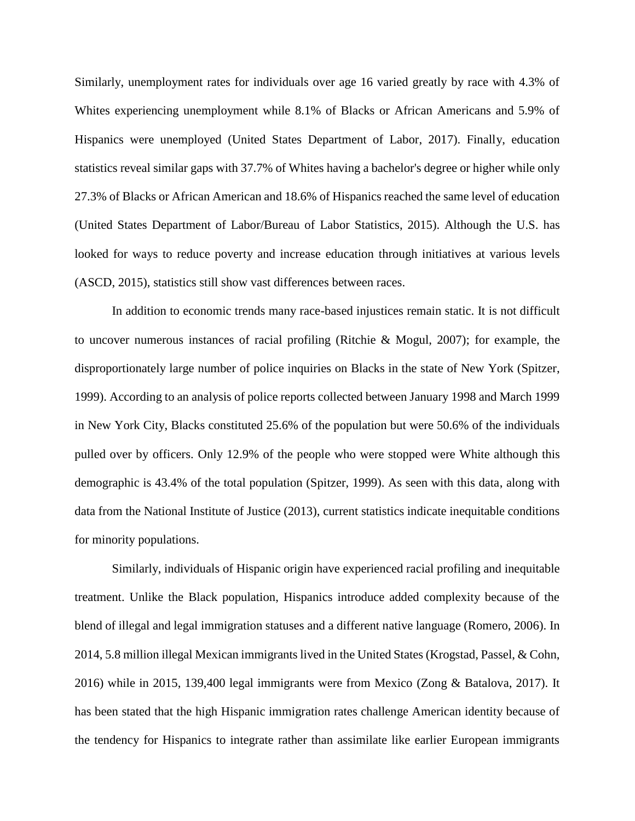Similarly, unemployment rates for individuals over age 16 varied greatly by race with 4.3% of Whites experiencing unemployment while 8.1% of Blacks or African Americans and 5.9% of Hispanics were unemployed (United States Department of Labor, 2017). Finally, education statistics reveal similar gaps with 37.7% of Whites having a bachelor's degree or higher while only 27.3% of Blacks or African American and 18.6% of Hispanics reached the same level of education (United States Department of Labor/Bureau of Labor Statistics, 2015). Although the U.S. has looked for ways to reduce poverty and increase education through initiatives at various levels (ASCD, 2015), statistics still show vast differences between races.

 In addition to economic trends many race-based injustices remain static. It is not difficult to uncover numerous instances of racial profiling (Ritchie & Mogul, 2007); for example, the disproportionately large number of police inquiries on Blacks in the state of New York (Spitzer, 1999). According to an analysis of police reports collected between January 1998 and March 1999 in New York City, Blacks constituted 25.6% of the population but were 50.6% of the individuals pulled over by officers. Only 12.9% of the people who were stopped were White although this demographic is 43.4% of the total population (Spitzer, 1999). As seen with this data, along with data from the National Institute of Justice (2013), current statistics indicate inequitable conditions for minority populations.

Similarly, individuals of Hispanic origin have experienced racial profiling and inequitable treatment. Unlike the Black population, Hispanics introduce added complexity because of the blend of illegal and legal immigration statuses and a different native language (Romero, 2006). In 2014, 5.8 million illegal Mexican immigrants lived in the United States (Krogstad, Passel, & Cohn, 2016) while in 2015, 139,400 legal immigrants were from Mexico (Zong & Batalova, 2017). It has been stated that the high Hispanic immigration rates challenge American identity because of the tendency for Hispanics to integrate rather than assimilate like earlier European immigrants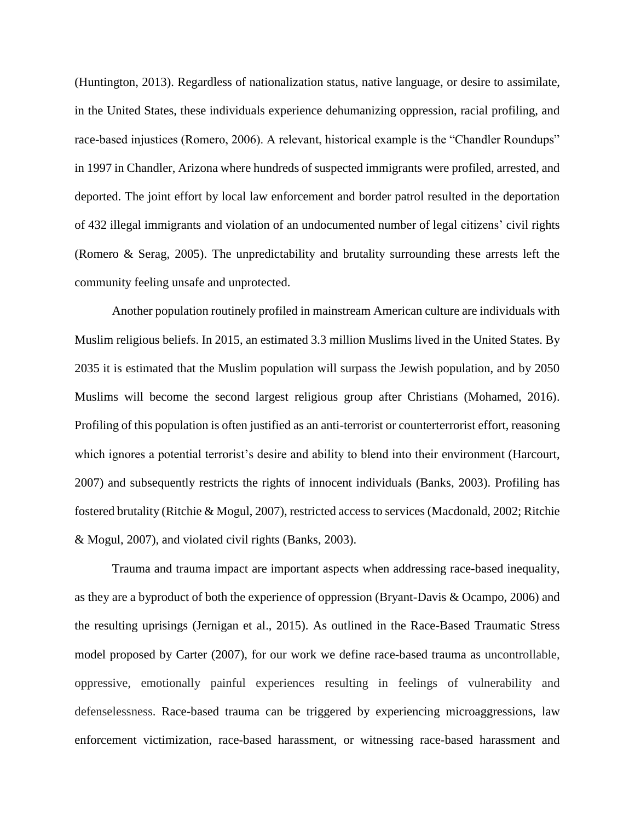(Huntington, 2013). Regardless of nationalization status, native language, or desire to assimilate, in the United States, these individuals experience dehumanizing oppression, racial profiling, and race-based injustices (Romero, 2006). A relevant, historical example is the "Chandler Roundups" in 1997 in Chandler, Arizona where hundreds of suspected immigrants were profiled, arrested, and deported. The joint effort by local law enforcement and border patrol resulted in the deportation of 432 illegal immigrants and violation of an undocumented number of legal citizens' civil rights (Romero & Serag, 2005). The unpredictability and brutality surrounding these arrests left the community feeling unsafe and unprotected.

Another population routinely profiled in mainstream American culture are individuals with Muslim religious beliefs. In 2015, an estimated 3.3 million Muslims lived in the United States. By 2035 it is estimated that the Muslim population will surpass the Jewish population, and by 2050 Muslims will become the second largest religious group after Christians (Mohamed, 2016). Profiling of this population is often justified as an anti-terrorist or counterterrorist effort, reasoning which ignores a potential terrorist's desire and ability to blend into their environment (Harcourt, 2007) and subsequently restricts the rights of innocent individuals (Banks, 2003). Profiling has fostered brutality (Ritchie & Mogul, 2007), restricted access to services (Macdonald, 2002; Ritchie & Mogul, 2007), and violated civil rights (Banks, 2003).

Trauma and trauma impact are important aspects when addressing race-based inequality, as they are a byproduct of both the experience of oppression (Bryant-Davis & Ocampo, 2006) and the resulting uprisings (Jernigan et al., 2015). As outlined in the Race-Based Traumatic Stress model proposed by Carter (2007), for our work we define race-based trauma as uncontrollable, oppressive, emotionally painful experiences resulting in feelings of vulnerability and defenselessness. Race-based trauma can be triggered by experiencing microaggressions, law enforcement victimization, race-based harassment, or witnessing race-based harassment and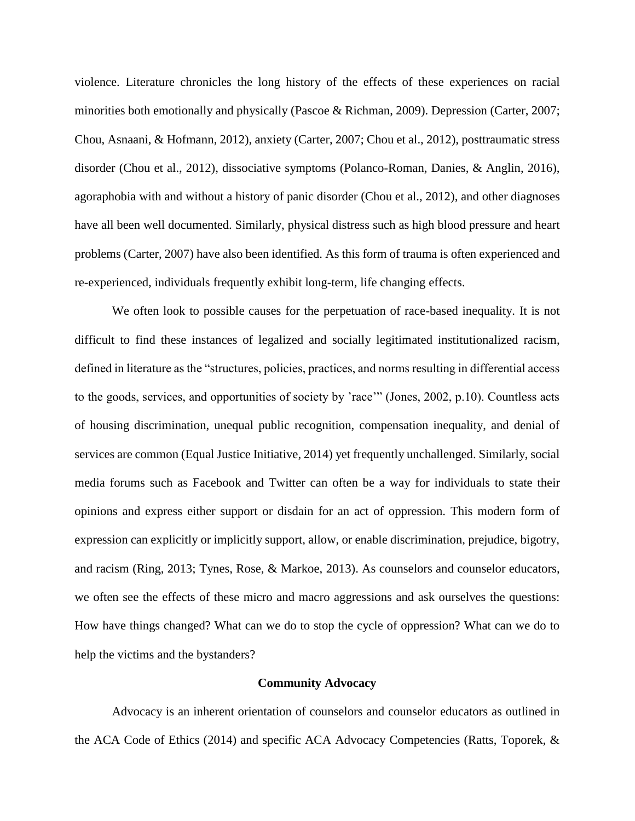violence. Literature chronicles the long history of the effects of these experiences on racial minorities both emotionally and physically (Pascoe & Richman, 2009). Depression (Carter, 2007; Chou, Asnaani, & Hofmann, 2012), anxiety (Carter, 2007; Chou et al., 2012), posttraumatic stress disorder (Chou et al., 2012), dissociative symptoms (Polanco-Roman, Danies, & Anglin, 2016), agoraphobia with and without a history of panic disorder (Chou et al., 2012), and other diagnoses have all been well documented. Similarly, physical distress such as high blood pressure and heart problems (Carter, 2007) have also been identified. As this form of trauma is often experienced and re-experienced, individuals frequently exhibit long-term, life changing effects.

We often look to possible causes for the perpetuation of race-based inequality. It is not difficult to find these instances of legalized and socially legitimated institutionalized racism, defined in literature as the "structures, policies, practices, and norms resulting in differential access to the goods, services, and opportunities of society by 'race'" (Jones, 2002, p.10). Countless acts of housing discrimination, unequal public recognition, compensation inequality, and denial of services are common (Equal Justice Initiative, 2014) yet frequently unchallenged. Similarly, social media forums such as Facebook and Twitter can often be a way for individuals to state their opinions and express either support or disdain for an act of oppression. This modern form of expression can explicitly or implicitly support, allow, or enable discrimination, prejudice, bigotry, and racism (Ring, 2013; Tynes, Rose, & Markoe, 2013). As counselors and counselor educators, we often see the effects of these micro and macro aggressions and ask ourselves the questions: How have things changed? What can we do to stop the cycle of oppression? What can we do to help the victims and the bystanders?

### **Community Advocacy**

Advocacy is an inherent orientation of counselors and counselor educators as outlined in the ACA Code of Ethics (2014) and specific ACA Advocacy Competencies (Ratts, Toporek, &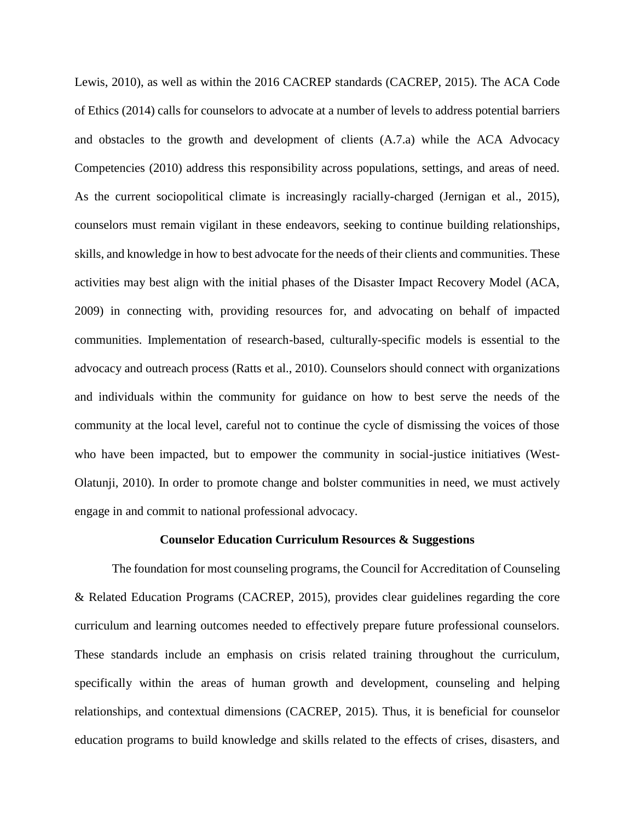Lewis, 2010), as well as within the 2016 CACREP standards (CACREP, 2015). The ACA Code of Ethics (2014) calls for counselors to advocate at a number of levels to address potential barriers and obstacles to the growth and development of clients (A.7.a) while the ACA Advocacy Competencies (2010) address this responsibility across populations, settings, and areas of need. As the current sociopolitical climate is increasingly racially-charged (Jernigan et al., 2015), counselors must remain vigilant in these endeavors, seeking to continue building relationships, skills, and knowledge in how to best advocate for the needs of their clients and communities. These activities may best align with the initial phases of the Disaster Impact Recovery Model (ACA, 2009) in connecting with, providing resources for, and advocating on behalf of impacted communities. Implementation of research-based, culturally-specific models is essential to the advocacy and outreach process (Ratts et al., 2010). Counselors should connect with organizations and individuals within the community for guidance on how to best serve the needs of the community at the local level, careful not to continue the cycle of dismissing the voices of those who have been impacted, but to empower the community in social-justice initiatives (West-Olatunji, 2010). In order to promote change and bolster communities in need, we must actively engage in and commit to national professional advocacy.

#### **Counselor Education Curriculum Resources & Suggestions**

 The foundation for most counseling programs, the Council for Accreditation of Counseling & Related Education Programs (CACREP, 2015), provides clear guidelines regarding the core curriculum and learning outcomes needed to effectively prepare future professional counselors. These standards include an emphasis on crisis related training throughout the curriculum, specifically within the areas of human growth and development, counseling and helping relationships, and contextual dimensions (CACREP, 2015). Thus, it is beneficial for counselor education programs to build knowledge and skills related to the effects of crises, disasters, and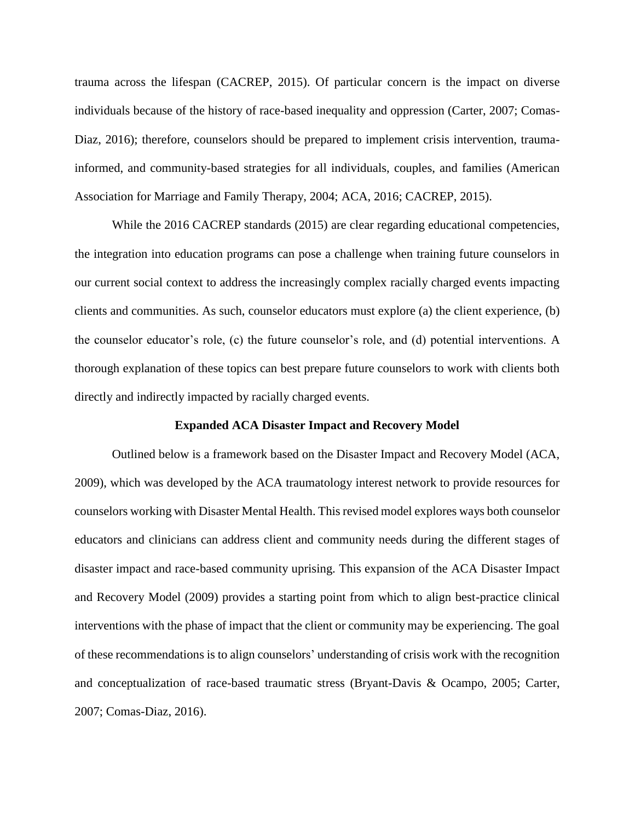trauma across the lifespan (CACREP, 2015). Of particular concern is the impact on diverse individuals because of the history of race-based inequality and oppression (Carter, 2007; Comas-Diaz, 2016); therefore, counselors should be prepared to implement crisis intervention, traumainformed, and community-based strategies for all individuals, couples, and families (American Association for Marriage and Family Therapy, 2004; ACA, 2016; CACREP, 2015).

While the 2016 CACREP standards (2015) are clear regarding educational competencies, the integration into education programs can pose a challenge when training future counselors in our current social context to address the increasingly complex racially charged events impacting clients and communities. As such, counselor educators must explore (a) the client experience, (b) the counselor educator's role, (c) the future counselor's role, and (d) potential interventions. A thorough explanation of these topics can best prepare future counselors to work with clients both directly and indirectly impacted by racially charged events.

#### **Expanded ACA Disaster Impact and Recovery Model**

Outlined below is a framework based on the Disaster Impact and Recovery Model (ACA, 2009), which was developed by the ACA traumatology interest network to provide resources for counselors working with Disaster Mental Health. This revised model explores ways both counselor educators and clinicians can address client and community needs during the different stages of disaster impact and race-based community uprising. This expansion of the ACA Disaster Impact and Recovery Model (2009) provides a starting point from which to align best-practice clinical interventions with the phase of impact that the client or community may be experiencing. The goal of these recommendations is to align counselors' understanding of crisis work with the recognition and conceptualization of race-based traumatic stress (Bryant-Davis & Ocampo, 2005; Carter, 2007; Comas-Diaz, 2016).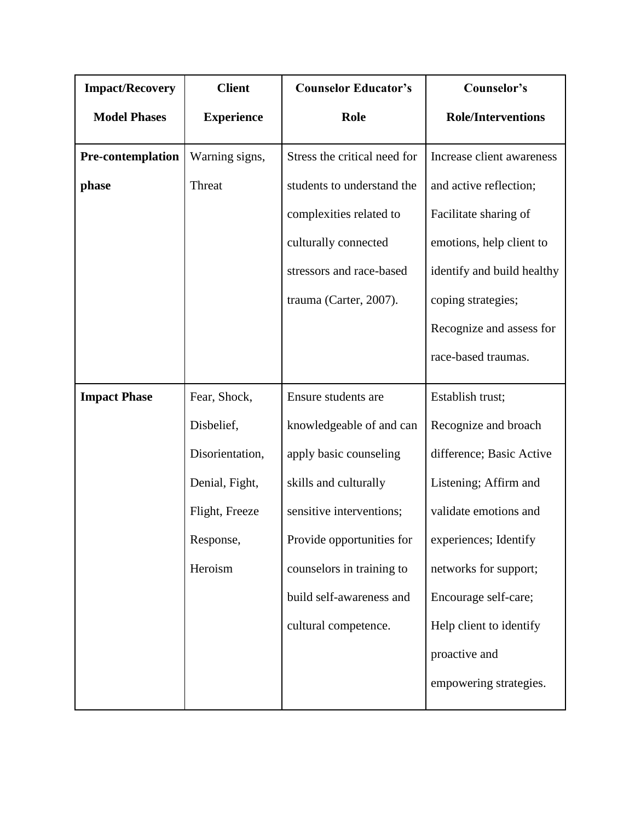| <b>Impact/Recovery</b>   | <b>Client</b>     | <b>Counselor Educator's</b>  | Counselor's                |
|--------------------------|-------------------|------------------------------|----------------------------|
| <b>Model Phases</b>      | <b>Experience</b> | Role                         | <b>Role/Interventions</b>  |
| <b>Pre-contemplation</b> | Warning signs,    | Stress the critical need for | Increase client awareness  |
| phase                    | Threat            | students to understand the   | and active reflection;     |
|                          |                   | complexities related to      | Facilitate sharing of      |
|                          |                   | culturally connected         | emotions, help client to   |
|                          |                   | stressors and race-based     | identify and build healthy |
|                          |                   | trauma (Carter, 2007).       | coping strategies;         |
|                          |                   |                              | Recognize and assess for   |
|                          |                   |                              | race-based traumas.        |
| <b>Impact Phase</b>      | Fear, Shock,      | Ensure students are          | Establish trust;           |
|                          | Disbelief,        | knowledgeable of and can     | Recognize and broach       |
|                          | Disorientation,   | apply basic counseling       | difference; Basic Active   |
|                          | Denial, Fight,    | skills and culturally        | Listening; Affirm and      |
|                          | Flight, Freeze    | sensitive interventions;     | validate emotions and      |
|                          | Response,         | Provide opportunities for    | experiences; Identify      |
|                          | Heroism           | counselors in training to    | networks for support;      |
|                          |                   | build self-awareness and     | Encourage self-care;       |
|                          |                   | cultural competence.         | Help client to identify    |
|                          |                   |                              | proactive and              |
|                          |                   |                              | empowering strategies.     |
|                          |                   |                              |                            |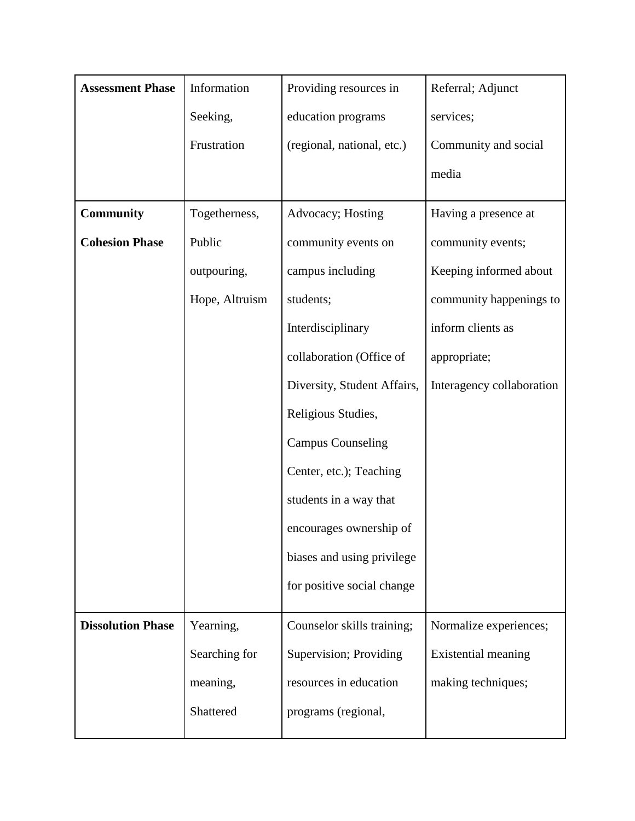| <b>Assessment Phase</b>  | Information    | Providing resources in      | Referral; Adjunct         |
|--------------------------|----------------|-----------------------------|---------------------------|
|                          | Seeking,       | education programs          | services;                 |
|                          | Frustration    | (regional, national, etc.)  | Community and social      |
|                          |                |                             | media                     |
| Community                | Togetherness,  | Advocacy; Hosting           | Having a presence at      |
| <b>Cohesion Phase</b>    | Public         | community events on         | community events;         |
|                          | outpouring,    | campus including            | Keeping informed about    |
|                          | Hope, Altruism | students;                   | community happenings to   |
|                          |                | Interdisciplinary           | inform clients as         |
|                          |                | collaboration (Office of    | appropriate;              |
|                          |                | Diversity, Student Affairs, | Interagency collaboration |
|                          |                | Religious Studies,          |                           |
|                          |                | <b>Campus Counseling</b>    |                           |
|                          |                | Center, etc.); Teaching     |                           |
|                          |                | students in a way that      |                           |
|                          |                | encourages ownership of     |                           |
|                          |                | biases and using privilege  |                           |
|                          |                | for positive social change  |                           |
| <b>Dissolution Phase</b> | Yearning,      | Counselor skills training;  | Normalize experiences;    |
|                          | Searching for  | Supervision; Providing      | Existential meaning       |
|                          | meaning,       | resources in education      | making techniques;        |
|                          | Shattered      | programs (regional,         |                           |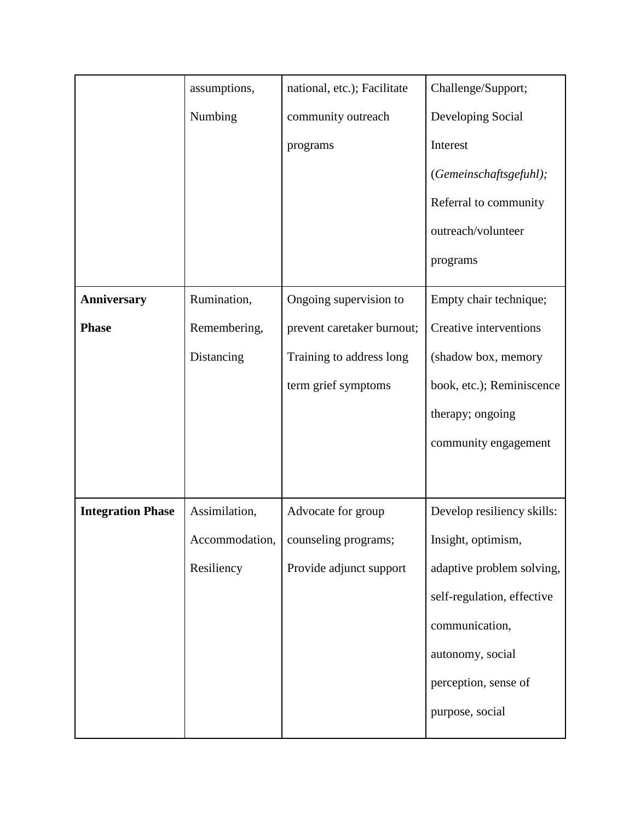|                          | assumptions,   | national, etc.); Facilitate | Challenge/Support;         |
|--------------------------|----------------|-----------------------------|----------------------------|
|                          | Numbing        | community outreach          | Developing Social          |
|                          |                | programs                    | Interest                   |
|                          |                |                             | (Gemeinschaftsgefuhl);     |
|                          |                |                             | Referral to community      |
|                          |                |                             | outreach/volunteer         |
|                          |                |                             | programs                   |
| <b>Anniversary</b>       | Rumination,    | Ongoing supervision to      | Empty chair technique;     |
| <b>Phase</b>             | Remembering,   | prevent caretaker burnout;  | Creative interventions     |
|                          | Distancing     | Training to address long    | (shadow box, memory        |
|                          |                | term grief symptoms         | book, etc.); Reminiscence  |
|                          |                |                             | therapy; ongoing           |
|                          |                |                             | community engagement       |
|                          |                |                             |                            |
| <b>Integration Phase</b> | Assimilation,  | Advocate for group          | Develop resiliency skills: |
|                          | Accommodation, | counseling programs;        | Insight, optimism,         |
|                          | Resiliency     | Provide adjunct support     | adaptive problem solving,  |
|                          |                |                             | self-regulation, effective |
|                          |                |                             | communication,             |
|                          |                |                             | autonomy, social           |
|                          |                |                             | perception, sense of       |
|                          |                |                             | purpose, social            |
|                          |                |                             |                            |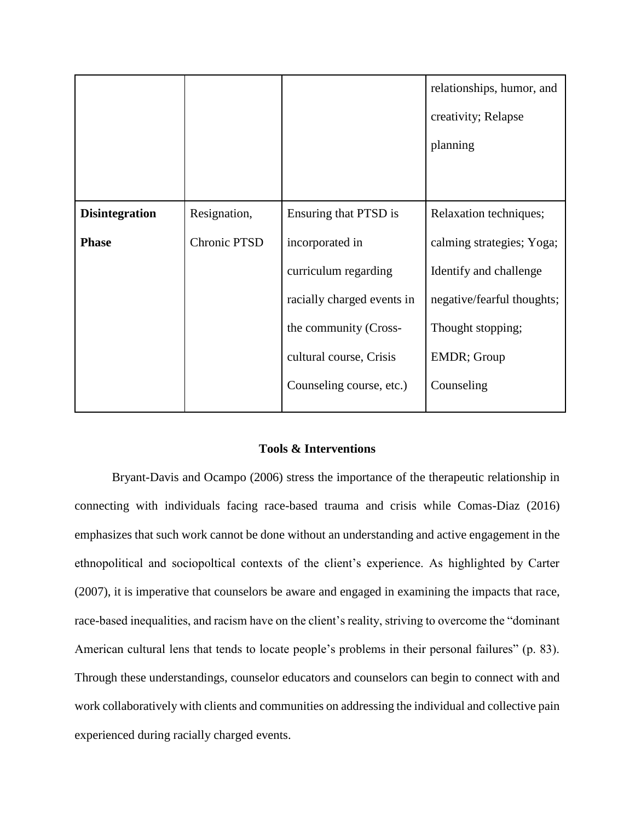|                       |              |                            | relationships, humor, and  |
|-----------------------|--------------|----------------------------|----------------------------|
|                       |              |                            | creativity; Relapse        |
|                       |              |                            | planning                   |
|                       |              |                            |                            |
|                       |              |                            |                            |
| <b>Disintegration</b> | Resignation, | Ensuring that PTSD is      | Relaxation techniques;     |
| <b>Phase</b>          | Chronic PTSD | incorporated in            | calming strategies; Yoga;  |
|                       |              | curriculum regarding       | Identify and challenge     |
|                       |              | racially charged events in | negative/fearful thoughts; |
|                       |              | the community (Cross-      | Thought stopping;          |
|                       |              | cultural course, Crisis    | EMDR; Group                |
|                       |              | Counseling course, etc.)   | Counseling                 |
|                       |              |                            |                            |

### **Tools & Interventions**

 Bryant-Davis and Ocampo (2006) stress the importance of the therapeutic relationship in connecting with individuals facing race-based trauma and crisis while Comas-Diaz (2016) emphasizes that such work cannot be done without an understanding and active engagement in the ethnopolitical and sociopoltical contexts of the client's experience. As highlighted by Carter (2007), it is imperative that counselors be aware and engaged in examining the impacts that race, race-based inequalities, and racism have on the client's reality, striving to overcome the "dominant American cultural lens that tends to locate people's problems in their personal failures" (p. 83). Through these understandings, counselor educators and counselors can begin to connect with and work collaboratively with clients and communities on addressing the individual and collective pain experienced during racially charged events.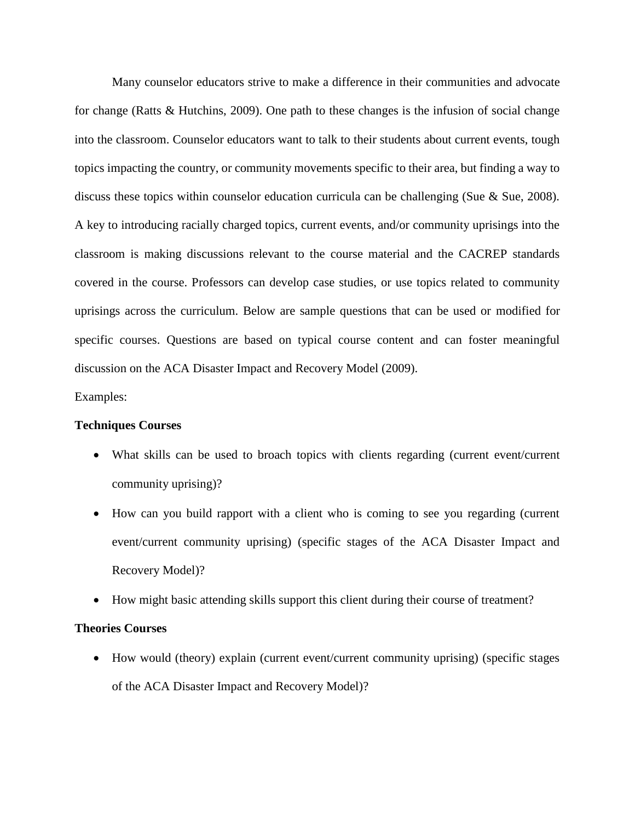Many counselor educators strive to make a difference in their communities and advocate for change (Ratts & Hutchins, 2009). One path to these changes is the infusion of social change into the classroom. Counselor educators want to talk to their students about current events, tough topics impacting the country, or community movements specific to their area, but finding a way to discuss these topics within counselor education curricula can be challenging (Sue  $\&$  Sue, 2008). A key to introducing racially charged topics, current events, and/or community uprisings into the classroom is making discussions relevant to the course material and the CACREP standards covered in the course. Professors can develop case studies, or use topics related to community uprisings across the curriculum. Below are sample questions that can be used or modified for specific courses. Questions are based on typical course content and can foster meaningful discussion on the ACA Disaster Impact and Recovery Model (2009).

Examples:

### **Techniques Courses**

- What skills can be used to broach topics with clients regarding (current event/current community uprising)?
- How can you build rapport with a client who is coming to see you regarding (current event/current community uprising) (specific stages of the ACA Disaster Impact and Recovery Model)?
- How might basic attending skills support this client during their course of treatment?

### **Theories Courses**

• How would (theory) explain (current event/current community uprising) (specific stages of the ACA Disaster Impact and Recovery Model)?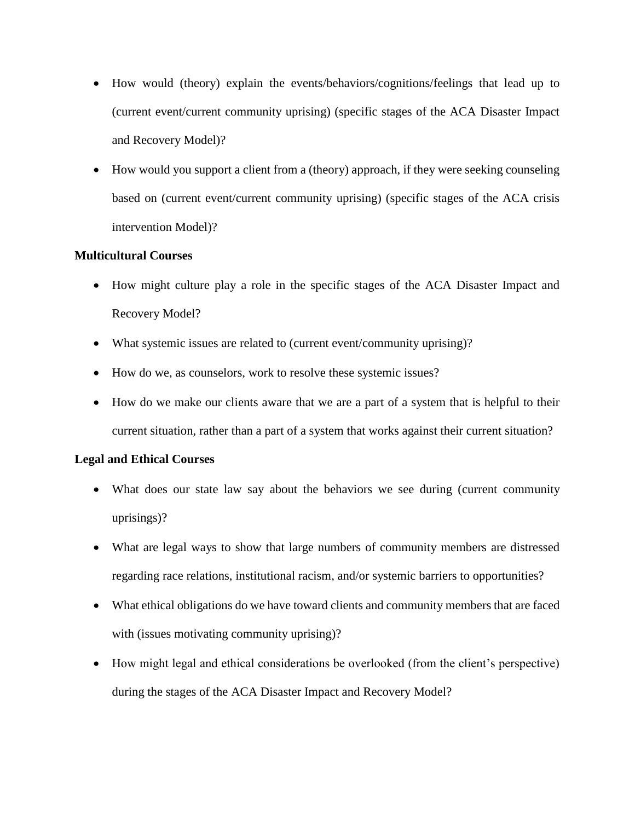- How would (theory) explain the events/behaviors/cognitions/feelings that lead up to (current event/current community uprising) (specific stages of the ACA Disaster Impact and Recovery Model)?
- How would you support a client from a (theory) approach, if they were seeking counseling based on (current event/current community uprising) (specific stages of the ACA crisis intervention Model)?

## **Multicultural Courses**

- How might culture play a role in the specific stages of the ACA Disaster Impact and Recovery Model?
- What systemic issues are related to (current event/community uprising)?
- How do we, as counselors, work to resolve these systemic issues?
- How do we make our clients aware that we are a part of a system that is helpful to their current situation, rather than a part of a system that works against their current situation?

# **Legal and Ethical Courses**

- What does our state law say about the behaviors we see during (current community uprisings)?
- What are legal ways to show that large numbers of community members are distressed regarding race relations, institutional racism, and/or systemic barriers to opportunities?
- What ethical obligations do we have toward clients and community members that are faced with (issues motivating community uprising)?
- How might legal and ethical considerations be overlooked (from the client's perspective) during the stages of the ACA Disaster Impact and Recovery Model?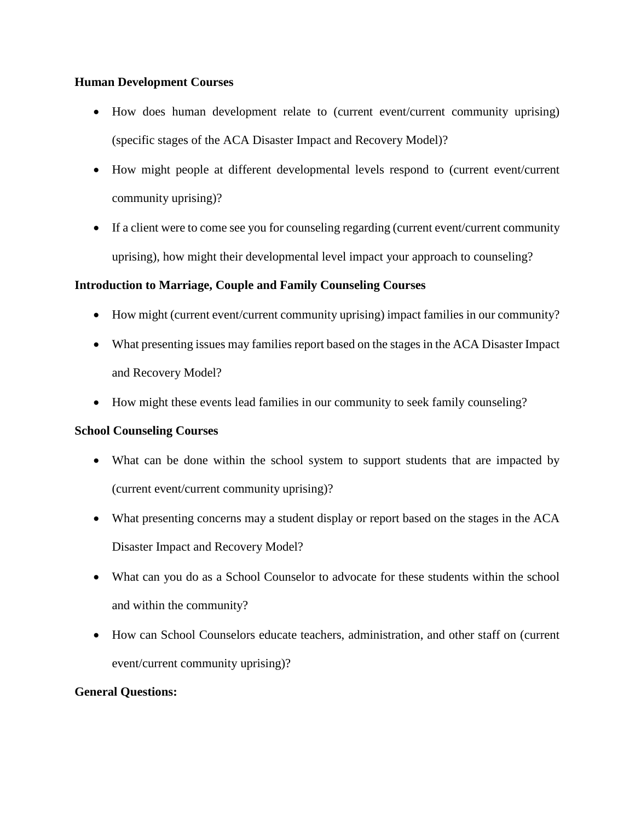## **Human Development Courses**

- How does human development relate to (current event/current community uprising) (specific stages of the ACA Disaster Impact and Recovery Model)?
- How might people at different developmental levels respond to (current event/current community uprising)?
- If a client were to come see you for counseling regarding (current event/current community uprising), how might their developmental level impact your approach to counseling?

# **Introduction to Marriage, Couple and Family Counseling Courses**

- How might (current event/current community uprising) impact families in our community?
- What presenting issues may families report based on the stages in the ACA Disaster Impact and Recovery Model?
- How might these events lead families in our community to seek family counseling?

# **School Counseling Courses**

- What can be done within the school system to support students that are impacted by (current event/current community uprising)?
- What presenting concerns may a student display or report based on the stages in the ACA Disaster Impact and Recovery Model?
- What can you do as a School Counselor to advocate for these students within the school and within the community?
- How can School Counselors educate teachers, administration, and other staff on (current event/current community uprising)?

# **General Questions:**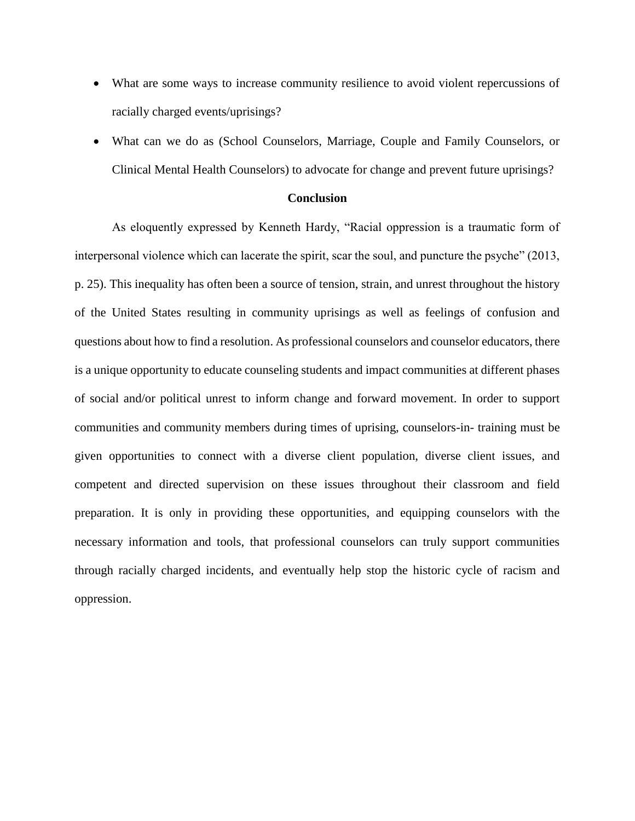- What are some ways to increase community resilience to avoid violent repercussions of racially charged events/uprisings?
- What can we do as (School Counselors, Marriage, Couple and Family Counselors, or Clinical Mental Health Counselors) to advocate for change and prevent future uprisings?

#### **Conclusion**

As eloquently expressed by Kenneth Hardy, "Racial oppression is a traumatic form of interpersonal violence which can lacerate the spirit, scar the soul, and puncture the psyche" (2013, p. 25). This inequality has often been a source of tension, strain, and unrest throughout the history of the United States resulting in community uprisings as well as feelings of confusion and questions about how to find a resolution. As professional counselors and counselor educators, there is a unique opportunity to educate counseling students and impact communities at different phases of social and/or political unrest to inform change and forward movement. In order to support communities and community members during times of uprising, counselors-in- training must be given opportunities to connect with a diverse client population, diverse client issues, and competent and directed supervision on these issues throughout their classroom and field preparation. It is only in providing these opportunities, and equipping counselors with the necessary information and tools, that professional counselors can truly support communities through racially charged incidents, and eventually help stop the historic cycle of racism and oppression.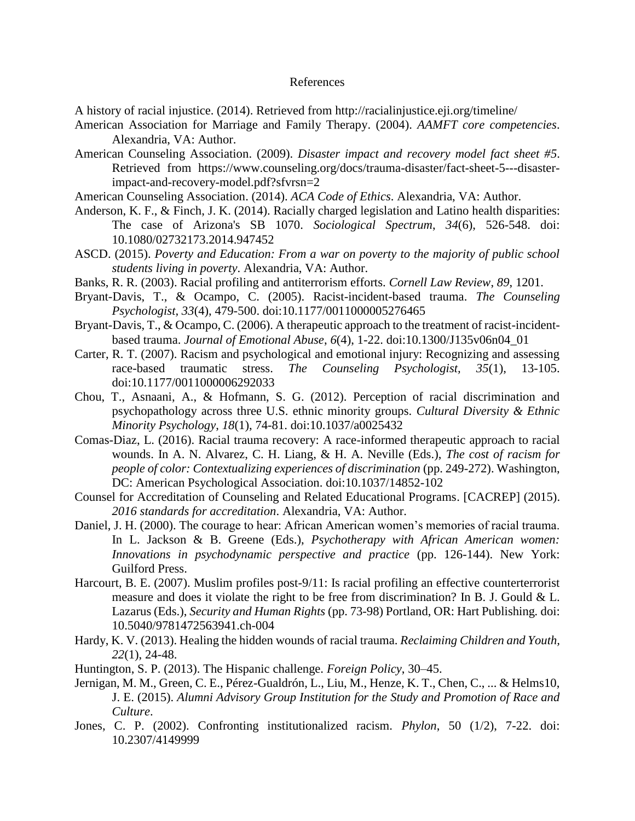#### References

A history of racial injustice. (2014). Retrieved from http://racialinjustice.eji.org/timeline/

- American Association for Marriage and Family Therapy. (2004). *AAMFT core competencies*. Alexandria, VA: Author.
- American Counseling Association. (2009). *Disaster impact and recovery model fact sheet #5*. Retrieved from https://www.counseling.org/docs/trauma-disaster/fact-sheet-5---disasterimpact-and-recovery-model.pdf?sfvrsn=2
- American Counseling Association. (2014). *ACA Code of Ethics*. Alexandria, VA: Author.
- Anderson, K. F., & Finch, J. K. (2014). Racially charged legislation and Latino health disparities: The case of Arizona's SB 1070. *Sociological Spectrum*, *34*(6), 526-548. doi: 10.1080/02732173.2014.947452
- ASCD. (2015). *Poverty and Education: From a war on poverty to the majority of public school students living in poverty*. Alexandria, VA: Author.
- Banks, R. R. (2003). Racial profiling and antiterrorism efforts. *Cornell Law Review*, *89*, 1201.
- Bryant-Davis, T., & Ocampo, C. (2005). Racist-incident-based trauma. *The Counseling Psychologist, 33*(4), 479-500. doi:10.1177/0011000005276465
- Bryant-Davis, T., & Ocampo, C. (2006). A therapeutic approach to the treatment of racist-incidentbased trauma. *Journal of Emotional Abuse*, *6*(4), 1-22. doi:10.1300/J135v06n04\_01
- Carter, R. T. (2007). Racism and psychological and emotional injury: Recognizing and assessing race-based traumatic stress. *The Counseling Psychologist, 35*(1), 13-105. doi:10.1177/0011000006292033
- Chou, T., Asnaani, A., & Hofmann, S. G. (2012). Perception of racial discrimination and psychopathology across three U.S. ethnic minority groups. *Cultural Diversity & Ethnic Minority Psychology*, *18*(1), 74-81. doi:10.1037/a0025432
- Comas-Diaz, L. (2016). Racial trauma recovery: A race-informed therapeutic approach to racial wounds. In A. N. Alvarez, C. H. Liang, & H. A. Neville (Eds.), *The cost of racism for people of color: Contextualizing experiences of discrimination* (pp. 249-272). Washington, DC: American Psychological Association. doi:10.1037/14852-102
- Counsel for Accreditation of Counseling and Related Educational Programs. [CACREP] (2015). *2016 standards for accreditation*. Alexandria, VA: Author.
- Daniel, J. H. (2000). The courage to hear: African American women's memories of racial trauma. In L. Jackson & B. Greene (Eds.), *Psychotherapy with African American women: Innovations in psychodynamic perspective and practice* (pp. 126-144). New York: Guilford Press.
- Harcourt, B. E. (2007). Muslim profiles post-9/11: Is racial profiling an effective counterterrorist measure and does it violate the right to be free from discrimination? In B. J. Gould & L. Lazarus (Eds.), *Security and Human Rights* (pp. 73-98) Portland, OR: Hart Publishing*.* doi: 10.5040/9781472563941.ch-004
- Hardy, K. V. (2013). Healing the hidden wounds of racial trauma. *Reclaiming Children and Youth, 22*(1), 24-48.
- Huntington, S. P. (2013). The Hispanic challenge. *Foreign Policy*, 30–45.
- Jernigan, M. M., Green, C. E., Pérez-Gualdrón, L., Liu, M., Henze, K. T., Chen, C., ... & Helms10, J. E. (2015). *Alumni Advisory Group Institution for the Study and Promotion of Race and Culture*.
- Jones, C. P. (2002). Confronting institutionalized racism. *Phylon*, 50 (1/2), 7-22. doi: 10.2307/4149999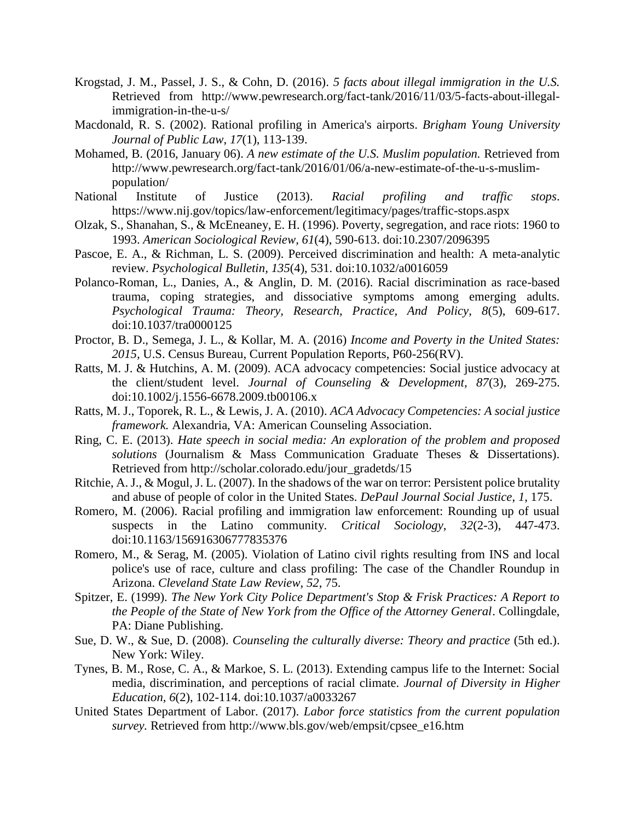- Krogstad, J. M., Passel, J. S., & Cohn, D. (2016). *5 facts about illegal immigration in the U.S.*  Retrieved from http://www.pewresearch.org/fact-tank/2016/11/03/5-facts-about-illegalimmigration-in-the-u-s/
- Macdonald, R. S. (2002). Rational profiling in America's airports. *Brigham Young University Journal of Public Law*, *17*(1), 113-139.
- Mohamed, B. (2016, January 06). *A new estimate of the U.S. Muslim population.* Retrieved from http://www.pewresearch.org/fact-tank/2016/01/06/a-new-estimate-of-the-u-s-muslimpopulation/
- National Institute of Justice (2013). *Racial profiling and traffic stops*. https://www.nij.gov/topics/law-enforcement/legitimacy/pages/traffic-stops.aspx
- Olzak, S., Shanahan, S., & McEneaney, E. H. (1996). Poverty, segregation, and race riots: 1960 to 1993. *American Sociological Review, 61*(4), 590-613. doi:10.2307/2096395
- Pascoe, E. A., & Richman, L. S. (2009). Perceived discrimination and health: A meta-analytic review. *Psychological Bulletin, 135*(4), 531. doi:10.1032/a0016059
- Polanco-Roman, L., Danies, A., & Anglin, D. M. (2016). Racial discrimination as race-based trauma, coping strategies, and dissociative symptoms among emerging adults. *Psychological Trauma: Theory, Research, Practice, And Policy*, *8*(5), 609-617. doi:10.1037/tra0000125
- Proctor, B. D., Semega, J. L., & Kollar, M. A. (2016) *Income and Poverty in the United States: 2015,* U.S. Census Bureau, Current Population Reports, P60-256(RV).
- Ratts, M. J. & Hutchins, A. M. (2009). ACA advocacy competencies: Social justice advocacy at the client/student level. *Journal of Counseling & Development, 87*(3), 269-275. doi:10.1002/j.1556-6678.2009.tb00106.x
- Ratts, M. J., Toporek, R. L., & Lewis, J. A. (2010). *ACA Advocacy Competencies: A social justice framework.* Alexandria, VA: American Counseling Association.
- Ring, C. E. (2013). *Hate speech in social media: An exploration of the problem and proposed solutions* (Journalism & Mass Communication Graduate Theses & Dissertations). Retrieved from http://scholar.colorado.edu/jour\_gradetds/15
- Ritchie, A. J., & Mogul, J. L. (2007). In the shadows of the war on terror: Persistent police brutality and abuse of people of color in the United States. *DePaul Journal Social Justice*, *1*, 175.
- Romero, M. (2006). Racial profiling and immigration law enforcement: Rounding up of usual suspects in the Latino community. *Critical Sociology*, *32*(2-3), 447-473. doi:10.1163/156916306777835376
- Romero, M., & Serag, M. (2005). Violation of Latino civil rights resulting from INS and local police's use of race, culture and class profiling: The case of the Chandler Roundup in Arizona. *Cleveland State Law Review*, *52*, 75.
- Spitzer, E. (1999). *The New York City Police Department's Stop & Frisk Practices: A Report to the People of the State of New York from the Office of the Attorney General*. Collingdale, PA: Diane Publishing.
- Sue, D. W., & Sue, D. (2008). *Counseling the culturally diverse: Theory and practice* (5th ed.). New York: Wiley.
- Tynes, B. M., Rose, C. A., & Markoe, S. L. (2013). Extending campus life to the Internet: Social media, discrimination, and perceptions of racial climate. *Journal of Diversity in Higher Education, 6*(2), 102-114. doi:10.1037/a0033267
- United States Department of Labor. (2017). *Labor force statistics from the current population survey.* Retrieved from http://www.bls.gov/web/empsit/cpsee\_e16.htm